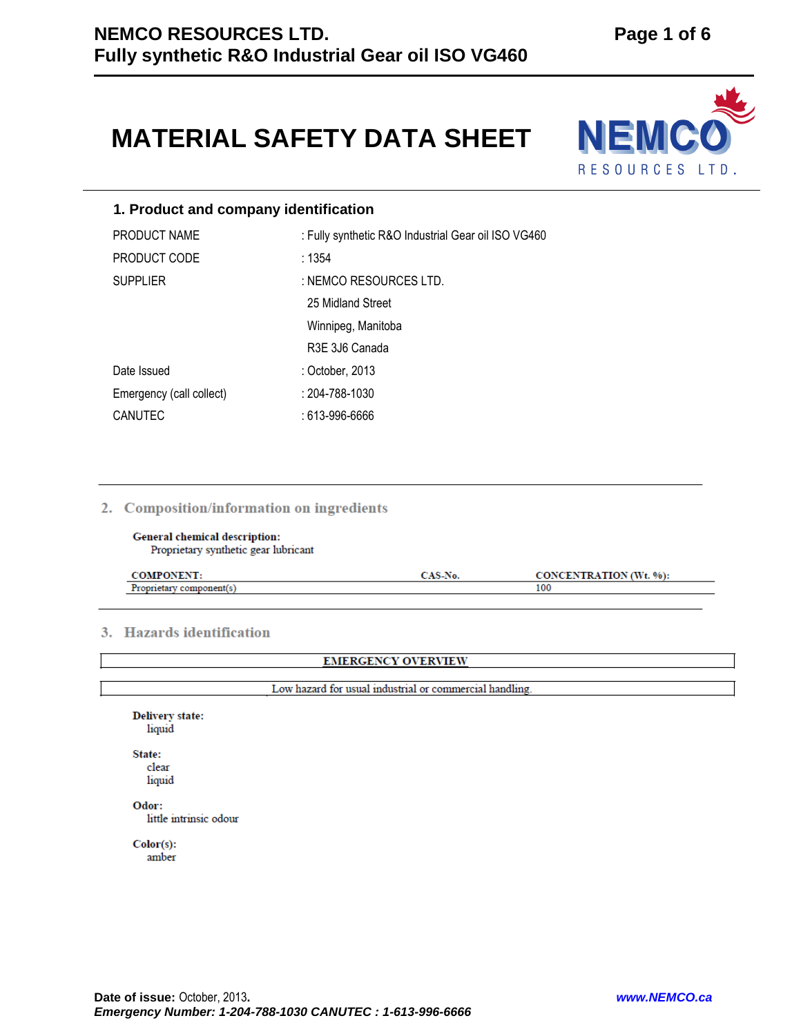# **MATERIAL SAFETY DATA SHEET**



# **1. Product and company identification**

| PRODUCT NAME             | : Fully synthetic R&O Industrial Gear oil ISO VG460 |
|--------------------------|-----------------------------------------------------|
| PRODUCT CODE             | : 1354                                              |
| <b>SUPPLIER</b>          | : NEMCO RESOURCES LTD.                              |
|                          | 25 Midland Street                                   |
|                          | Winnipeg, Manitoba                                  |
|                          | R3E 3J6 Canada                                      |
| Date Issued              | : October, 2013                                     |
| Emergency (call collect) | : 204-788-1030                                      |
| <b>CANUTEC</b>           | : 613-996-6666                                      |

# 2. Composition/information on ingredients

**General chemical description:** Proprietary synthetic gear lubricant

|  | $^{\circ}$ %):<br>$\mathbf{W}$ |
|--|--------------------------------|
|  | 100                            |

# 3. Hazards identification

**EMERGENCY OVERVIEW** 

Low hazard for usual industrial or commercial handling.

**Delivery state:** liquid State: clear liquid Odor: little intrinsic odour

 $Color(s):$ amber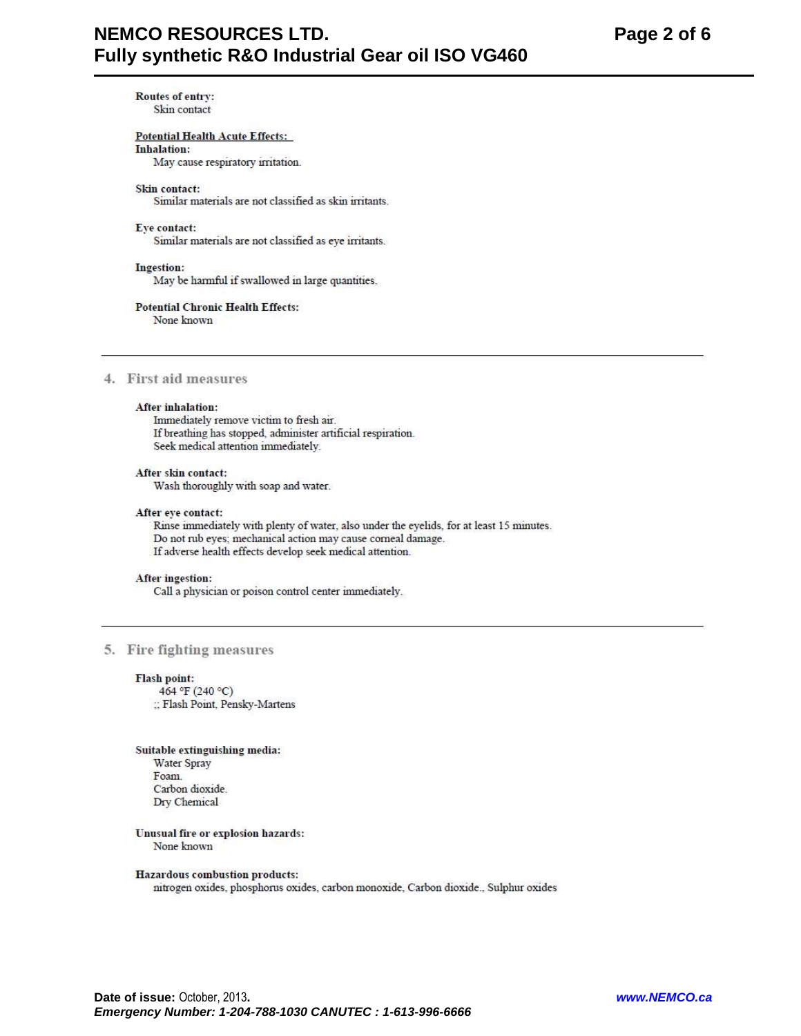# **NEMCO RESOURCES LTD.** Fully synthetic R&O Industrial Gear oil ISO VG460

**Routes of entry:** Skin contact

# **Potential Health Acute Effects:**

## **Inhalation:**

May cause respiratory irritation.

#### Skin contact:

Similar materials are not classified as skin irritants.

#### Eye contact:

Similar materials are not classified as eye irritants.

#### Ingestion:

May be harmful if swallowed in large quantities.

# **Potential Chronic Health Effects:**

None known

# 4. First aid measures

#### After inhalation:

Immediately remove victim to fresh air. If breathing has stopped, administer artificial respiration. Seek medical attention immediately.

#### After skin contact:

Wash thoroughly with soap and water.

#### After eye contact:

Rinse immediately with plenty of water, also under the eyelids, for at least 15 minutes. Do not rub eyes; mechanical action may cause corneal damage. If adverse health effects develop seek medical attention.

#### After ingestion:

Call a physician or poison control center immediately.

# 5. Fire fighting measures

#### **Flash point:**

464 °F (240 °C) :: Flash Point, Pensky-Martens

#### Suitable extinguishing media:

**Water Spray** Foam. Carbon dioxide. Dry Chemical

#### Unusual fire or explosion hazards: None known

#### Hazardous combustion products:

nitrogen oxides, phosphorus oxides, carbon monoxide, Carbon dioxide., Sulphur oxides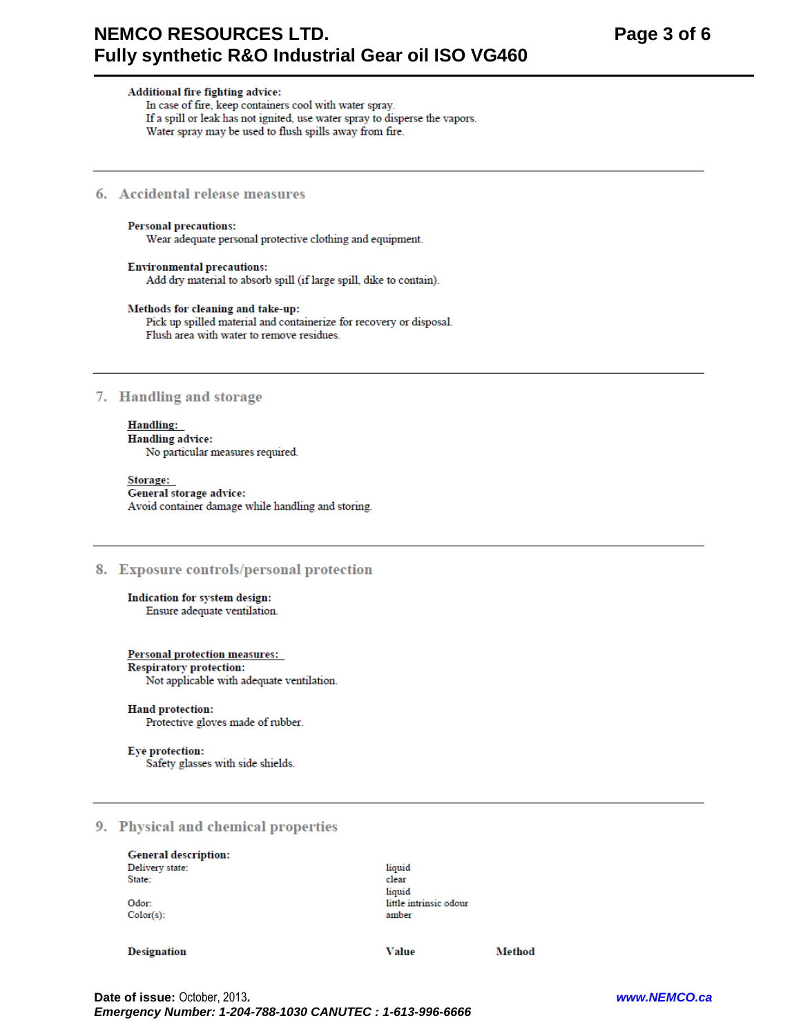# **NEMCO RESOURCES LTD.** Fully synthetic R&O Industrial Gear oil ISO VG460

Additional fire fighting advice: In case of fire, keep containers cool with water spray.

If a spill or leak has not ignited, use water spray to disperse the vapors.

Water spray may be used to flush spills away from fire.

# 6. Accidental release measures

#### **Personal precautions:**

Wear adequate personal protective clothing and equipment.

# **Environmental precautions:** Add dry material to absorb spill (if large spill, dike to contain).

#### Methods for cleaning and take-up:

Pick up spilled material and containerize for recovery or disposal. Flush area with water to remove residues.

# 7. Handling and storage

# **Handling:**

**Handling advice:** No particular measures required.

Storage: General storage advice: Avoid container damage while handling and storing.

#### 8. Exposure controls/personal protection

Indication for system design: Ensure adequate ventilation.

#### Personal protection measures:

#### **Respiratory protection:**

Not applicable with adequate ventilation.

#### Hand protection:

Protective gloves made of rubber.

#### Eye protection:

Safety glasses with side shields.

# 9. Physical and chemical properties

#### **General description:** Delivery state: State:

Odor: Color(s):

#### **Designation**

**Value** 

**Method** 

little intrinsic odour

liquid

clear liquid

amber

Date of issue: October, 2013. Emergency Number: 1-204-788-1030 CANUTEC : 1-613-996-6666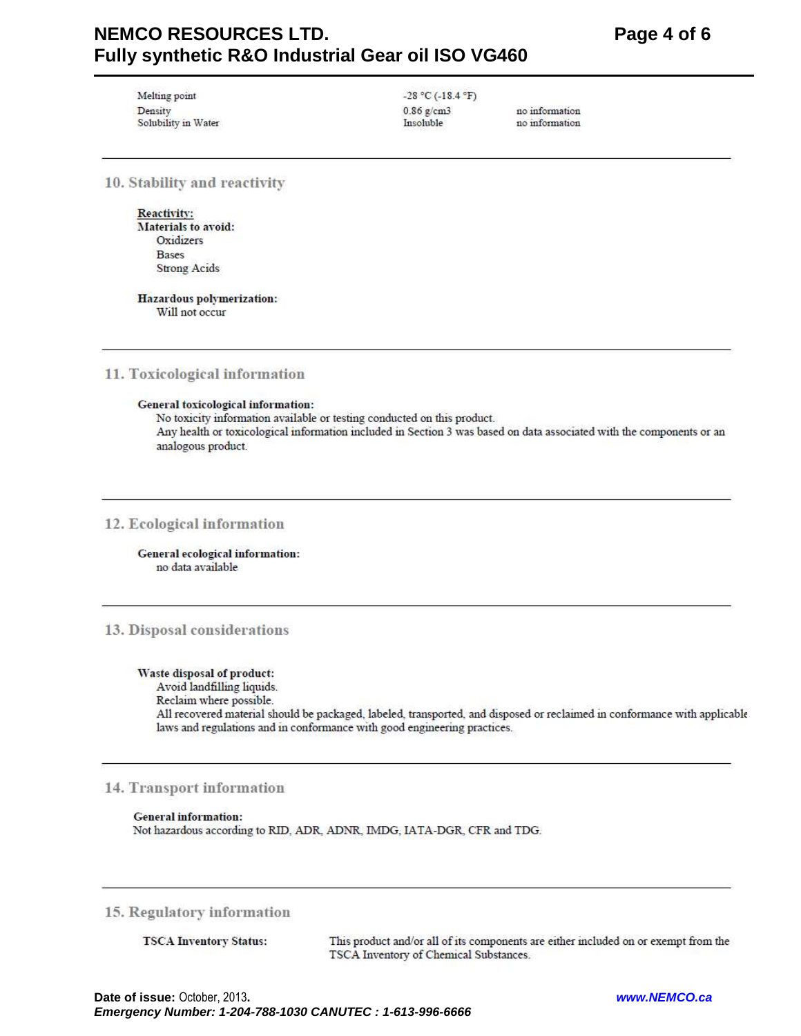# **NEMCO RESOURCES LTD.** Fully synthetic R&O Industrial Gear oil ISO VG460

Melting point Density Solubility in Water  $-28 °C (-18.4 °F)$  $0.86$  g/cm3 Insoluble

no information no information

10. Stability and reactivity

**Reactivity:** Materials to avoid: Oxidizers **Bases Strong Acids** 

Hazardous polymerization: Will not occur

# 11. Toxicological information

#### General toxicological information:

No toxicity information available or testing conducted on this product. Any health or toxicological information included in Section 3 was based on data associated with the components or an analogous product.

# 12. Ecological information

General ecological information: no data available

# 13. Disposal considerations

#### Waste disposal of product:

Avoid landfilling liquids.

Reclaim where possible.

All recovered material should be packaged, labeled, transported, and disposed or reclaimed in conformance with applicable laws and regulations and in conformance with good engineering practices.

# 14. Transport information

#### **General information:**

Not hazardous according to RID, ADR, ADNR, IMDG, IATA-DGR, CFR and TDG.

# 15. Regulatory information

**TSCA Inventory Status:** 

This product and/or all of its components are either included on or exempt from the TSCA Inventory of Chemical Substances.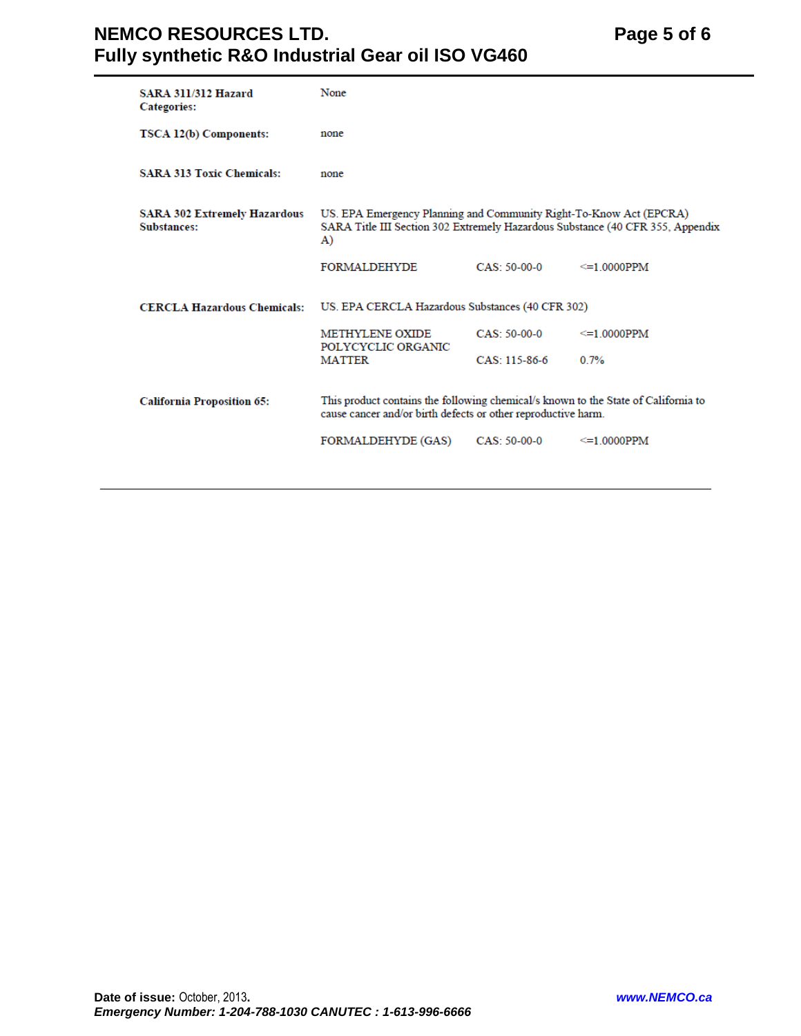# **NEMCO RESOURCES LTD.** Page 5 of 6 **Fully synthetic R&O Industrial Gear oil ISO VG460**

| <b>SARA 311/312 Hazard</b><br><b>Categories:</b>   | None                                                                                                                                                |                |                                                                                |
|----------------------------------------------------|-----------------------------------------------------------------------------------------------------------------------------------------------------|----------------|--------------------------------------------------------------------------------|
| TSCA 12(b) Components:                             | none                                                                                                                                                |                |                                                                                |
| <b>SARA 313 Toxic Chemicals:</b>                   | none                                                                                                                                                |                |                                                                                |
| <b>SARA 302 Extremely Hazardous</b><br>Substances: | US. EPA Emergency Planning and Community Right-To-Know Act (EPCRA)<br>A)                                                                            |                | SARA Title III Section 302 Extremely Hazardous Substance (40 CFR 355, Appendix |
|                                                    | <b>FORMALDEHYDE</b>                                                                                                                                 | $CAS: 50-00-0$ | $\leq$ 1 0000PPM                                                               |
| <b>CERCLA Hazardous Chemicals:</b>                 | US. EPA CERCLA Hazardous Substances (40 CFR 302)                                                                                                    |                |                                                                                |
|                                                    | <b>METHYLENE OXIDE</b><br>POLYCYCLIC ORGANIC                                                                                                        | $CAS: 50-00-0$ | $\leq$ 1.0000PPM                                                               |
|                                                    | <b>MATTER</b>                                                                                                                                       | CAS: 115-86-6  | 0.7%                                                                           |
| <b>California Proposition 65:</b>                  | This product contains the following chemical/s known to the State of California to<br>cause cancer and/or birth defects or other reproductive harm. |                |                                                                                |
|                                                    | FORMALDEHYDE (GAS)                                                                                                                                  | CAS: 50-00-0   | $\leq$ =1.0000PPM                                                              |